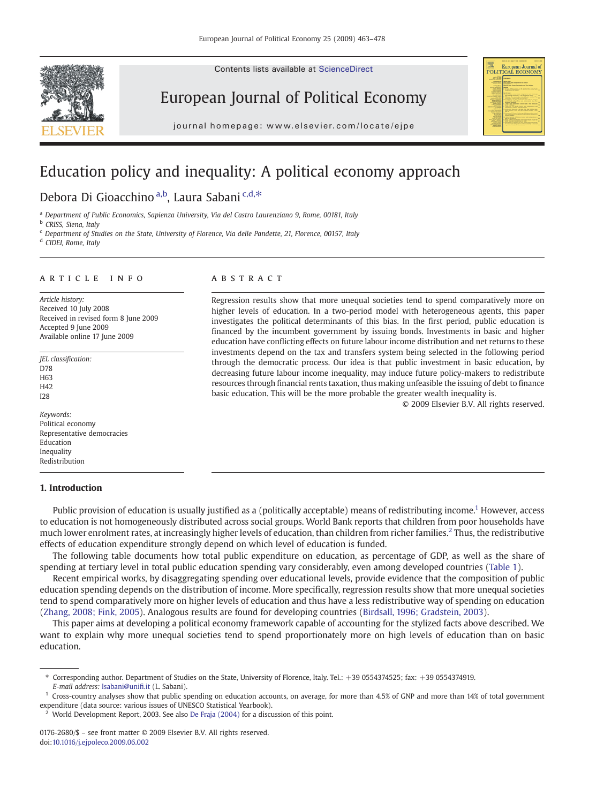Contents lists available at ScienceDirect



j o u r n a l h om e p a g e  $\alpha$  ev i e r. c om  $\alpha$  t e  $\alpha$  t e  $\alpha$ 



## Debora Di Gioacchino a,b, Laura Sabani c,d,\*

<sup>a</sup> Department of Public Economics, Sapienza University, Via del Castro Laurenziano 9, Rome, 00181, Italy

**b** CRISS, Siena, Italy

<sup>c</sup> Department of Studies on the State, University of Florence, Via delle Pandette, 21, Florence, 00157, Italy

<sup>d</sup> CIDEI, Rome, Italy

### article info abstract

Article history: Received 10 July 2008 Received in revised form 8 June 2009 Accepted 9 June 2009 Available online 17 June 2009

JEL classification: D78 H63  $H<sub>42</sub>$ I28

Keywords: Political economy Representative democracies Education Inequality Redistribution

### 1. Introduction

Regression results show that more unequal societies tend to spend comparatively more on higher levels of education. In a two-period model with heterogeneous agents, this paper investigates the political determinants of this bias. In the first period, public education is financed by the incumbent government by issuing bonds. Investments in basic and higher education have conflicting effects on future labour income distribution and net returns to these investments depend on the tax and transfers system being selected in the following period through the democratic process. Our idea is that public investment in basic education, by decreasing future labour income inequality, may induce future policy-makers to redistribute resources through financial rents taxation, thus making unfeasible the issuing of debt to finance basic education. This will be the more probable the greater wealth inequality is.

© 2009 Elsevier B.V. All rights reserved.

Public provision of education is usually justified as a (politically acceptable) means of redistributing income.<sup>1</sup> However, access to education is not homogeneously distributed across social groups. World Bank reports that children from poor households have much lower enrolment rates, at increasingly higher levels of education, than children from richer families.<sup>2</sup> Thus, the redistributive effects of education expenditure strongly depend on which level of education is funded.

The following table documents how total public expenditure on education, as percentage of GDP, as well as the share of spending at tertiary level in total public education spending vary considerably, even among developed countries [\(Table 1](#page-1-0)).

Recent empirical works, by disaggregating spending over educational levels, provide evidence that the composition of public education spending depends on the distribution of income. More specifically, regression results show that more unequal societies tend to spend comparatively more on higher levels of education and thus have a less redistributive way of spending on education [\(Zhang, 2008; Fink, 2005\)](#page--1-0). Analogous results are found for developing countries ([Birdsall, 1996; Gradstein, 2003\)](#page--1-0).

This paper aims at developing a political economy framework capable of accounting for the stylized facts above described. We want to explain why more unequal societies tend to spend proportionately more on high levels of education than on basic education.

0176-2680/\$ – see front matter © 2009 Elsevier B.V. All rights reserved. doi[:10.1016/j.ejpoleco.2009.06.002](http://dx.doi.org/10.1016/j.ejpoleco.2009.06.002)

<sup>⁎</sup> Corresponding author. Department of Studies on the State, University of Florence, Italy. Tel.: +39 0554374525; fax: +39 0554374919. E-mail address: [lsabani@uni](mailto:lsabani@unifi.it)fi.it (L. Sabani).

 $1$  Cross-country analyses show that public spending on education accounts, on average, for more than 4.5% of GNP and more than 14% of total government expenditure (data source: various issues of UNESCO Statistical Yearbook).

 $2^{2}$  World Development Report, 2003. See also [De Fraja \(2004\)](#page--1-0) for a discussion of this point.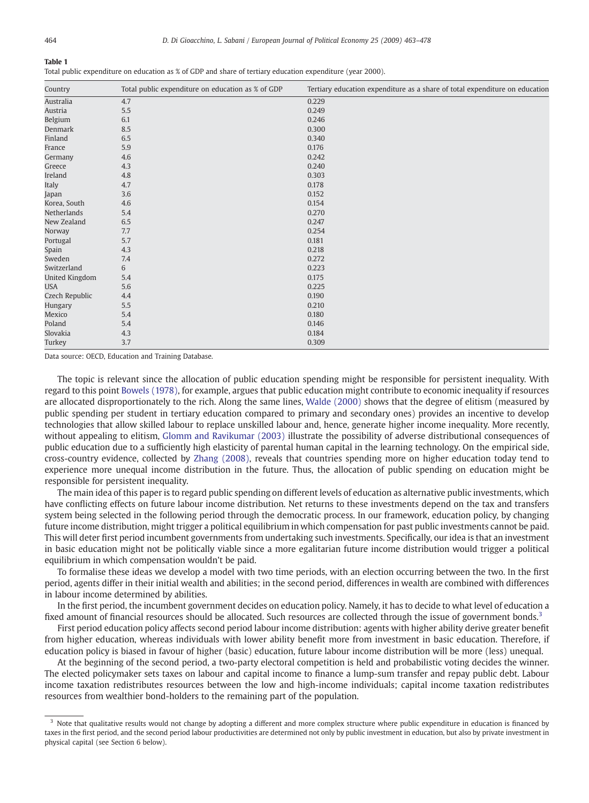#### <span id="page-1-0"></span>Table 1

Total public expenditure on education as % of GDP and share of tertiary education expenditure (year 2000).

| Country               | Total public expenditure on education as % of GDP | Tertiary education expenditure as a share of total expenditure on education |
|-----------------------|---------------------------------------------------|-----------------------------------------------------------------------------|
| Australia             | 4.7                                               | 0.229                                                                       |
| Austria               | 5.5                                               | 0.249                                                                       |
| Belgium               | 6.1                                               | 0.246                                                                       |
| Denmark               | 8.5                                               | 0.300                                                                       |
| Finland               | 6.5                                               | 0.340                                                                       |
| France                | 5.9                                               | 0.176                                                                       |
| Germany               | 4.6                                               | 0.242                                                                       |
| Greece                | 4.3                                               | 0.240                                                                       |
| Ireland               | 4.8                                               | 0.303                                                                       |
| Italy                 | 4.7                                               | 0.178                                                                       |
| Japan                 | 3.6                                               | 0.152                                                                       |
| Korea, South          | 4.6                                               | 0.154                                                                       |
| Netherlands           | 5.4                                               | 0.270                                                                       |
| New Zealand           | 6.5                                               | 0.247                                                                       |
| Norway                | 7.7                                               | 0.254                                                                       |
| Portugal              | 5.7                                               | 0.181                                                                       |
| Spain                 | 4.3                                               | 0.218                                                                       |
| Sweden                | 7.4                                               | 0.272                                                                       |
| Switzerland           | 6                                                 | 0.223                                                                       |
| <b>United Kingdom</b> | 5.4                                               | 0.175                                                                       |
| <b>USA</b>            | 5.6                                               | 0.225                                                                       |
| Czech Republic        | 4.4                                               | 0.190                                                                       |
| Hungary               | 5.5                                               | 0.210                                                                       |
| Mexico                | 5.4                                               | 0.180                                                                       |
| Poland                | 5.4                                               | 0.146                                                                       |
| Slovakia              | 4.3                                               | 0.184                                                                       |
| Turkey                | 3.7                                               | 0.309                                                                       |

Data source: OECD, Education and Training Database.

The topic is relevant since the allocation of public education spending might be responsible for persistent inequality. With regard to this point [Bowels \(1978\)](#page--1-0), for example, argues that public education might contribute to economic inequality if resources are allocated disproportionately to the rich. Along the same lines, [Walde \(2000\)](#page--1-0) shows that the degree of elitism (measured by public spending per student in tertiary education compared to primary and secondary ones) provides an incentive to develop technologies that allow skilled labour to replace unskilled labour and, hence, generate higher income inequality. More recently, without appealing to elitism, [Glomm and Ravikumar \(2003\)](#page--1-0) illustrate the possibility of adverse distributional consequences of public education due to a sufficiently high elasticity of parental human capital in the learning technology. On the empirical side, cross-country evidence, collected by [Zhang \(2008\)](#page--1-0), reveals that countries spending more on higher education today tend to experience more unequal income distribution in the future. Thus, the allocation of public spending on education might be responsible for persistent inequality.

The main idea of this paper is to regard public spending on different levels of education as alternative public investments, which have conflicting effects on future labour income distribution. Net returns to these investments depend on the tax and transfers system being selected in the following period through the democratic process. In our framework, education policy, by changing future income distribution, might trigger a political equilibrium in which compensation for past public investments cannot be paid. This will deter first period incumbent governments from undertaking such investments. Specifically, our idea is that an investment in basic education might not be politically viable since a more egalitarian future income distribution would trigger a political equilibrium in which compensation wouldn't be paid.

To formalise these ideas we develop a model with two time periods, with an election occurring between the two. In the first period, agents differ in their initial wealth and abilities; in the second period, differences in wealth are combined with differences in labour income determined by abilities.

In the first period, the incumbent government decides on education policy. Namely, it has to decide to what level of education a fixed amount of financial resources should be allocated. Such resources are collected through the issue of government bonds.<sup>3</sup>

First period education policy affects second period labour income distribution: agents with higher ability derive greater benefit from higher education, whereas individuals with lower ability benefit more from investment in basic education. Therefore, if education policy is biased in favour of higher (basic) education, future labour income distribution will be more (less) unequal.

At the beginning of the second period, a two-party electoral competition is held and probabilistic voting decides the winner. The elected policymaker sets taxes on labour and capital income to finance a lump-sum transfer and repay public debt. Labour income taxation redistributes resources between the low and high-income individuals; capital income taxation redistributes resources from wealthier bond-holders to the remaining part of the population.

 $3$  Note that qualitative results would not change by adopting a different and more complex structure where public expenditure in education is financed by taxes in the first period, and the second period labour productivities are determined not only by public investment in education, but also by private investment in physical capital (see Section 6 below).